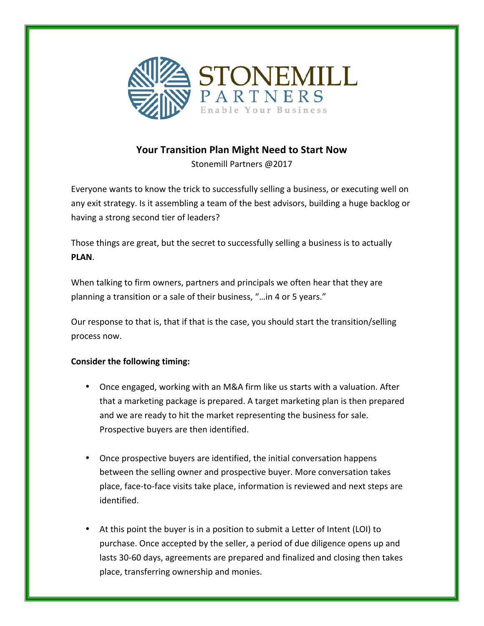

## Your Transition Plan Might Need to Start Now

Stonemill Partners @2017

Everyone wants to know the trick to successfully selling a business, or executing well on any exit strategy. Is it assembling a team of the best advisors, building a huge backlog or having a strong second tier of leaders?

Those things are great, but the secret to successfully selling a business is to actually **PLAN**.

When talking to firm owners, partners and principals we often hear that they are planning a transition or a sale of their business, "...in 4 or 5 years."

Our response to that is, that if that is the case, you should start the transition/selling process now.

## **Consider the following timing:**

- Once engaged, working with an M&A firm like us starts with a valuation. After that a marketing package is prepared. A target marketing plan is then prepared and we are ready to hit the market representing the business for sale. Prospective buyers are then identified.
- Once prospective buyers are identified, the initial conversation happens between the selling owner and prospective buyer. More conversation takes place, face-to-face visits take place, information is reviewed and next steps are identified.
- At this point the buyer is in a position to submit a Letter of Intent (LOI) to purchase. Once accepted by the seller, a period of due diligence opens up and lasts 30-60 days, agreements are prepared and finalized and closing then takes place, transferring ownership and monies.